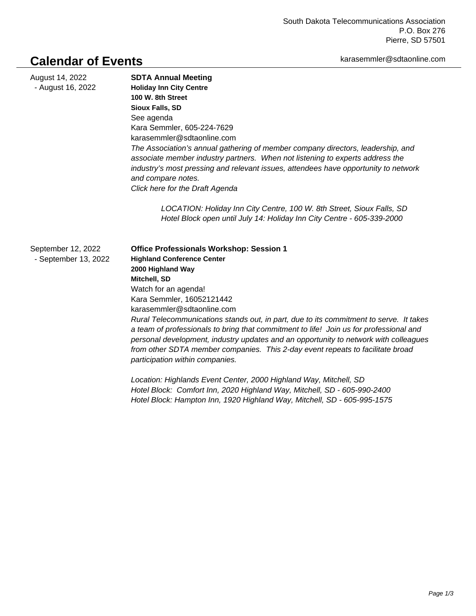## karasemmler@sdtaonline.com

## **Calendar of Events**

| August 14, 2022<br>- August 16, 2022       | <b>SDTA Annual Meeting</b><br><b>Holiday Inn City Centre</b><br>100 W. 8th Street<br><b>Sioux Falls, SD</b><br>See agenda<br>Kara Semmler, 605-224-7629<br>karasemmler@sdtaonline.com<br>The Association's annual gathering of member company directors, leadership, and<br>associate member industry partners. When not listening to experts address the<br>industry's most pressing and relevant issues, attendees have opportunity to network<br>and compare notes.<br>Click here for the Draft Agenda                                                                                                     |
|--------------------------------------------|---------------------------------------------------------------------------------------------------------------------------------------------------------------------------------------------------------------------------------------------------------------------------------------------------------------------------------------------------------------------------------------------------------------------------------------------------------------------------------------------------------------------------------------------------------------------------------------------------------------|
|                                            | LOCATION: Holiday Inn City Centre, 100 W. 8th Street, Sioux Falls, SD<br>Hotel Block open until July 14: Holiday Inn City Centre - 605-339-2000                                                                                                                                                                                                                                                                                                                                                                                                                                                               |
| September 12, 2022<br>- September 13, 2022 | <b>Office Professionals Workshop: Session 1</b><br><b>Highland Conference Center</b><br>2000 Highland Way<br>Mitchell, SD<br>Watch for an agenda!<br>Kara Semmler, 16052121442<br>karasemmler@sdtaonline.com<br>Rural Telecommunications stands out, in part, due to its commitment to serve. It takes<br>a team of professionals to bring that commitment to life! Join us for professional and<br>personal development, industry updates and an opportunity to network with colleagues<br>from other SDTA member companies. This 2-day event repeats to facilitate broad<br>participation within companies. |
|                                            | Location: Highlands Event Center, 2000 Highland Way, Mitchell, SD<br>Hotel Block: Comfort Inn, 2020 Highland Way, Mitchell, SD - 605-990-2400<br>Hotel Block: Hampton Inn, 1920 Highland Way, Mitchell, SD - 605-995-1575                                                                                                                                                                                                                                                                                                                                                                                     |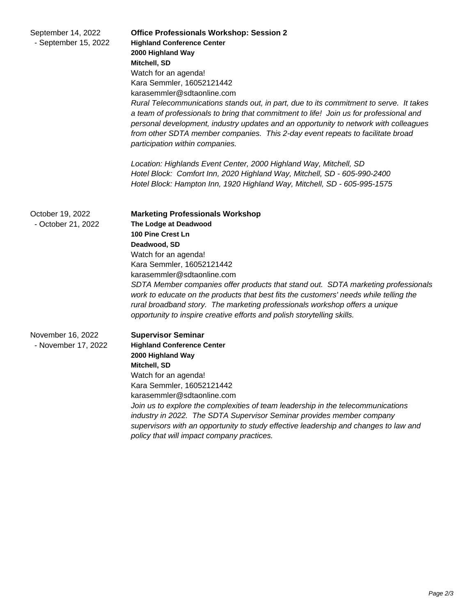| September 14, 2022<br>- September 15, 2022 | <b>Office Professionals Workshop: Session 2</b><br><b>Highland Conference Center</b><br>2000 Highland Way<br>Mitchell, SD<br>Watch for an agenda!<br>Kara Semmler, 16052121442<br>karasemmler@sdtaonline.com<br>Rural Telecommunications stands out, in part, due to its commitment to serve. It takes<br>a team of professionals to bring that commitment to life! Join us for professional and<br>personal development, industry updates and an opportunity to network with colleagues<br>from other SDTA member companies. This 2-day event repeats to facilitate broad<br>participation within companies.<br>Location: Highlands Event Center, 2000 Highland Way, Mitchell, SD<br>Hotel Block: Comfort Inn, 2020 Highland Way, Mitchell, SD - 605-990-2400<br>Hotel Block: Hampton Inn, 1920 Highland Way, Mitchell, SD - 605-995-1575 |
|--------------------------------------------|--------------------------------------------------------------------------------------------------------------------------------------------------------------------------------------------------------------------------------------------------------------------------------------------------------------------------------------------------------------------------------------------------------------------------------------------------------------------------------------------------------------------------------------------------------------------------------------------------------------------------------------------------------------------------------------------------------------------------------------------------------------------------------------------------------------------------------------------|
| October 19, 2022<br>- October 21, 2022     | <b>Marketing Professionals Workshop</b><br>The Lodge at Deadwood<br>100 Pine Crest Ln<br>Deadwood, SD<br>Watch for an agenda!<br>Kara Semmler, 16052121442<br>karasemmler@sdtaonline.com<br>SDTA Member companies offer products that stand out. SDTA marketing professionals<br>work to educate on the products that best fits the customers' needs while telling the<br>rural broadband story. The marketing professionals workshop offers a unique<br>opportunity to inspire creative efforts and polish storytelling skills.                                                                                                                                                                                                                                                                                                           |
| November 16, 2022<br>- November 17, 2022   | <b>Supervisor Seminar</b><br><b>Highland Conference Center</b><br>2000 Highland Way<br>Mitchell, SD<br>Watch for an agenda!<br>Kara Semmler, 16052121442<br>karasemmler@sdtaonline.com<br>Join us to explore the complexities of team leadership in the telecommunications<br>industry in 2022. The SDTA Supervisor Seminar provides member company<br>supervisors with an opportunity to study effective leadership and changes to law and<br>policy that will impact company practices.                                                                                                                                                                                                                                                                                                                                                  |